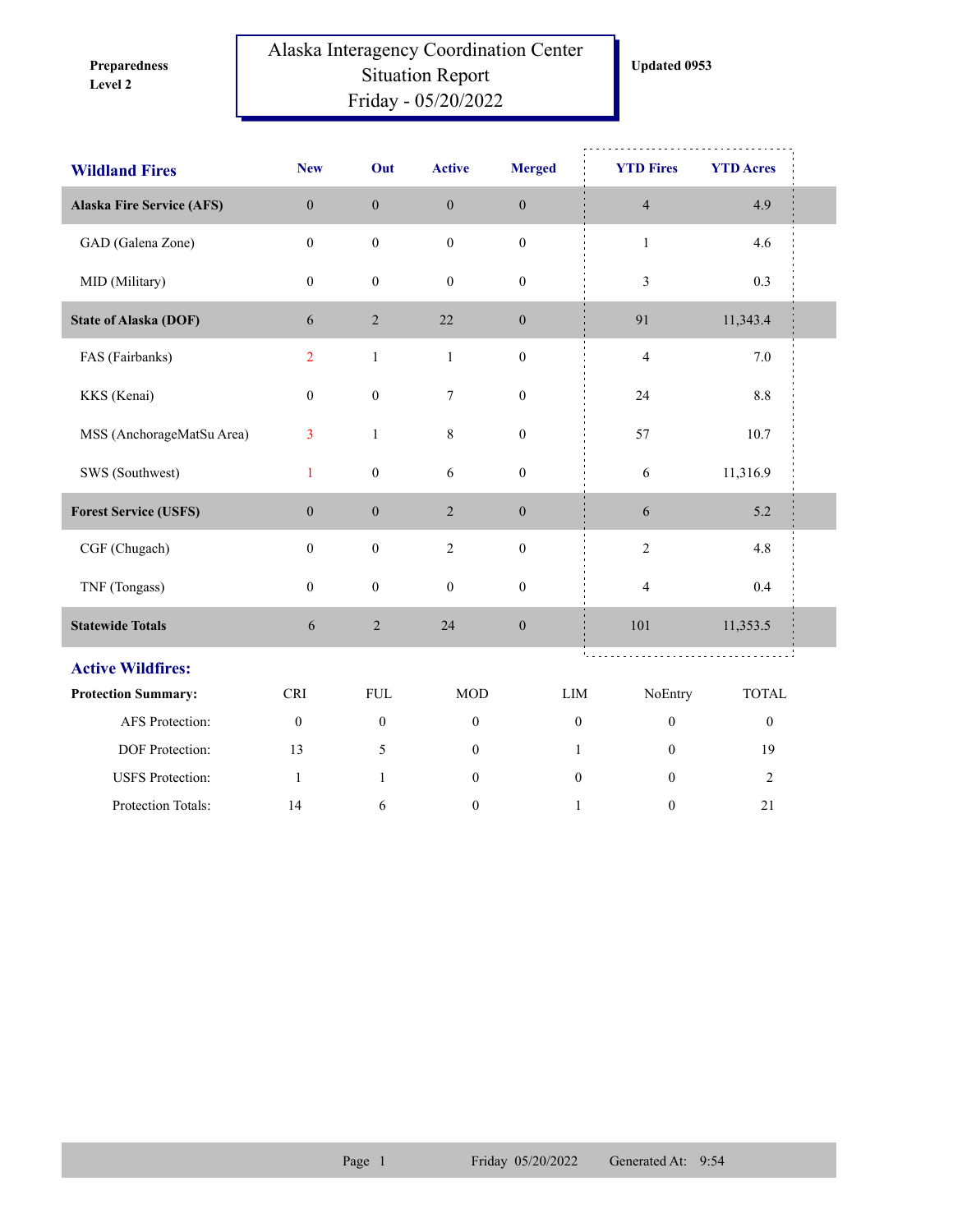**Level 2 Preparedness** 

## Alaska Interagency Coordination Center Situation Report Friday - 05/20/2022

| <b>Wildland Fires</b>            | <b>New</b>       | Out              | <b>Active</b>    | <b>Merged</b>    |              | <b>YTD Fires</b> | <b>YTD Acres</b> |
|----------------------------------|------------------|------------------|------------------|------------------|--------------|------------------|------------------|
| <b>Alaska Fire Service (AFS)</b> | $\boldsymbol{0}$ | $\boldsymbol{0}$ | $\boldsymbol{0}$ | $\boldsymbol{0}$ |              | $\overline{4}$   | 4.9              |
| GAD (Galena Zone)                | $\mathbf{0}$     | $\boldsymbol{0}$ | $\mathbf{0}$     | $\boldsymbol{0}$ |              | $\mathbf{1}$     | 4.6              |
| MID (Military)                   | $\mathbf{0}$     | $\mathbf{0}$     | $\boldsymbol{0}$ | $\boldsymbol{0}$ |              | 3                | 0.3              |
| <b>State of Alaska (DOF)</b>     | 6                | $\overline{c}$   | 22               | $\boldsymbol{0}$ |              | 91               | 11,343.4         |
| FAS (Fairbanks)                  | $\overline{2}$   | $\mathbf{1}$     | $\,1$            | $\boldsymbol{0}$ |              | $\overline{4}$   | $7.0\,$          |
| KKS (Kenai)                      | $\boldsymbol{0}$ | $\boldsymbol{0}$ | $\boldsymbol{7}$ | $\boldsymbol{0}$ |              | 24               | $8.8\,$          |
| MSS (AnchorageMatSu Area)        | 3                | $\mathbf{1}$     | $8\,$            | $\boldsymbol{0}$ |              | 57               | 10.7             |
| SWS (Southwest)                  | $\mathbf{1}$     | $\boldsymbol{0}$ | $\sqrt{6}$       | $\boldsymbol{0}$ |              | $\sqrt{6}$       | 11,316.9         |
| <b>Forest Service (USFS)</b>     | $\boldsymbol{0}$ | $\boldsymbol{0}$ | $\overline{2}$   | $\boldsymbol{0}$ |              | $\sqrt{6}$       | 5.2              |
| CGF (Chugach)                    | $\boldsymbol{0}$ | $\boldsymbol{0}$ | $\sqrt{2}$       | $\boldsymbol{0}$ |              | $\sqrt{2}$       | 4.8              |
| TNF (Tongass)                    | $\boldsymbol{0}$ | $\boldsymbol{0}$ | $\boldsymbol{0}$ | $\boldsymbol{0}$ |              | $\overline{4}$   | $0.4\,$          |
| <b>Statewide Totals</b>          | $\sqrt{6}$       | $\sqrt{2}$       | 24               | $\boldsymbol{0}$ |              | 101              | 11,353.5         |
| <b>Active Wildfires:</b>         |                  |                  |                  |                  |              |                  |                  |
| <b>Protection Summary:</b>       | <b>CRI</b>       | ${\rm FUL}$      | <b>MOD</b>       |                  | LIM          | NoEntry          | <b>TOTAL</b>     |
| AFS Protection:                  | $\boldsymbol{0}$ | $\boldsymbol{0}$ | $\mathbf{0}$     |                  | $\mathbf{0}$ | $\mathbf{0}$     | $\boldsymbol{0}$ |
| DOF Protection:                  | 13               | 5                | $\boldsymbol{0}$ |                  | $\mathbf{1}$ | $\mathbf{0}$     | 19               |
| <b>USFS</b> Protection:          | $\mathbf{1}$     | $\mathbf{1}$     | $\mathbf{0}$     |                  | $\mathbf{0}$ | $\theta$         | $\overline{2}$   |
| Protection Totals:               | 14               | 6                | $\boldsymbol{0}$ |                  | $\mathbf{1}$ | $\boldsymbol{0}$ | 21               |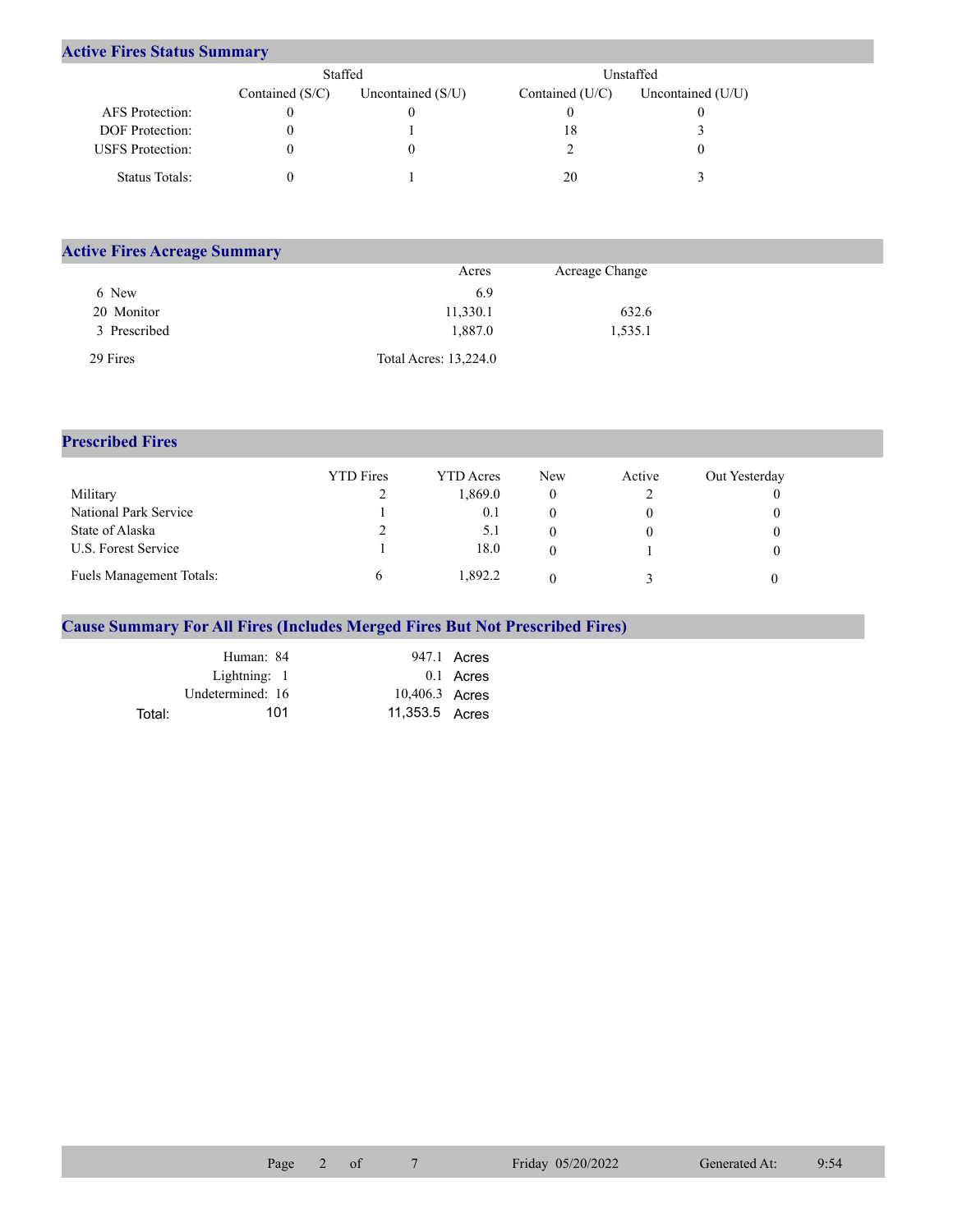## **Active Fires Status Summary**

|                         | Staffed           |                     | Unstaffed         |                     |  |  |
|-------------------------|-------------------|---------------------|-------------------|---------------------|--|--|
|                         | Contained $(S/C)$ | Uncontained $(S/U)$ | Contained $(U/C)$ | Uncontained $(U/U)$ |  |  |
| AFS Protection:         |                   |                     |                   |                     |  |  |
| <b>DOF</b> Protection:  |                   |                     | 18                |                     |  |  |
| <b>USFS</b> Protection: |                   |                     |                   |                     |  |  |
| Status Totals:          |                   |                     | 20                |                     |  |  |

| <b>Active Fires Acreage Summary</b> |                       |                |  |
|-------------------------------------|-----------------------|----------------|--|
|                                     | Acres                 | Acreage Change |  |
| 6 New                               | 6.9                   |                |  |
| 20 Monitor                          | 11,330.1              | 632.6          |  |
| 3 Prescribed                        | 1,887.0               | 1,535.1        |  |
| 29 Fires                            | Total Acres: 13,224.0 |                |  |

## **Prescribed Fires**

|                          | <b>YTD</b> Fires | YTD Acres | <b>New</b> | Active | Out Yesterday |
|--------------------------|------------------|-----------|------------|--------|---------------|
| Military                 |                  | 1.869.0   |            |        |               |
| National Park Service    |                  | 0.1       |            |        |               |
| State of Alaska          |                  | 5.1       |            |        |               |
| U.S. Forest Service      |                  | 18.0      |            |        |               |
| Fuels Management Totals: |                  | 1.892.2   |            |        |               |

## **Cause Summary For All Fires (Includes Merged Fires But Not Prescribed Fires)**

|        | Human: 84        |                | 947.1 Acres |
|--------|------------------|----------------|-------------|
|        | Lightning: 1     |                | 0.1 Acres   |
|        | Undetermined: 16 | 10,406.3 Acres |             |
| Total: | 101              | 11,353.5 Acres |             |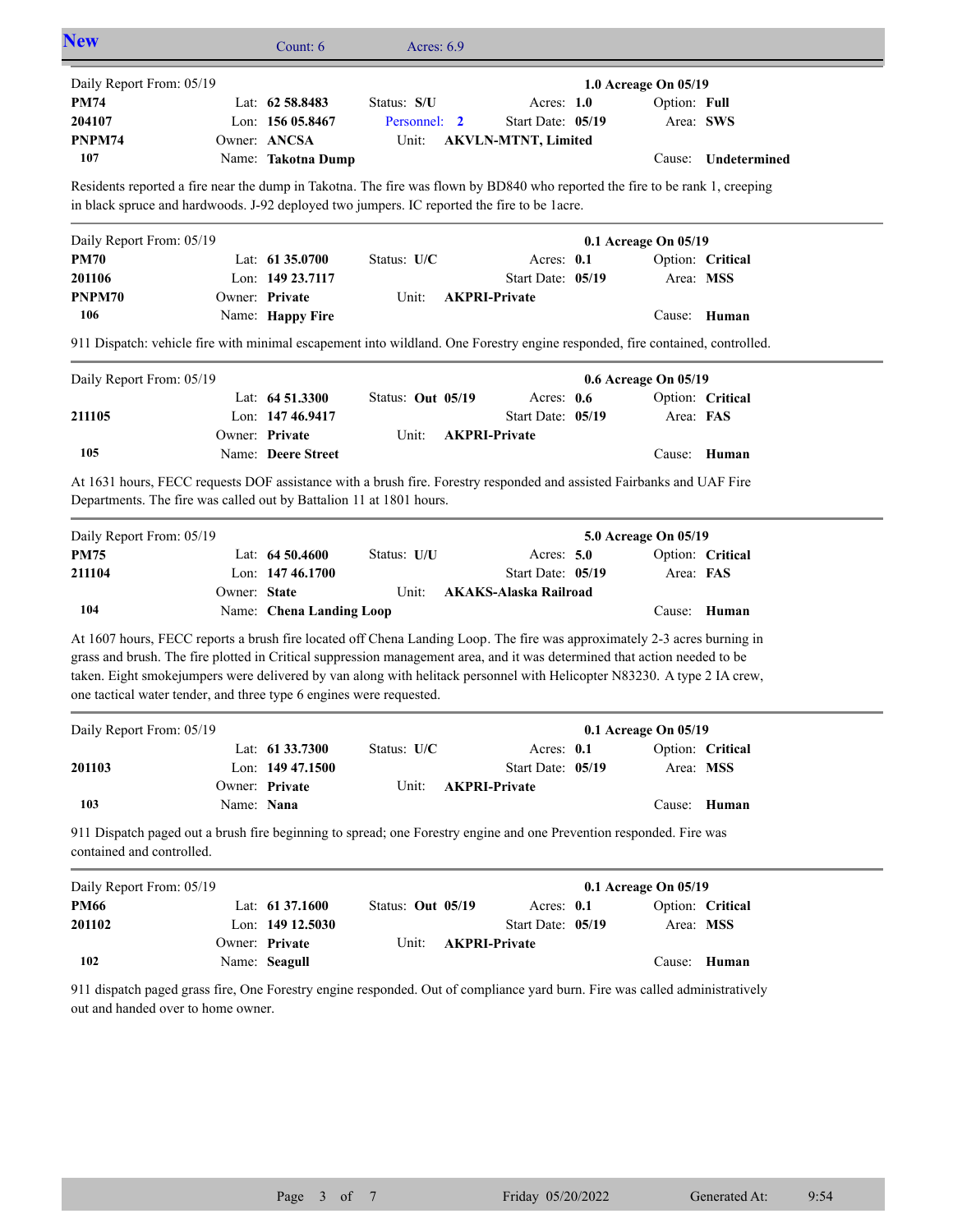| <b>New</b>                                                                                                                                                                                                                                                                                                                                                                                                                                              |              | Count: 6                 | Acres: $6.9$      |                              |                      |                  |
|---------------------------------------------------------------------------------------------------------------------------------------------------------------------------------------------------------------------------------------------------------------------------------------------------------------------------------------------------------------------------------------------------------------------------------------------------------|--------------|--------------------------|-------------------|------------------------------|----------------------|------------------|
| Daily Report From: 05/19                                                                                                                                                                                                                                                                                                                                                                                                                                |              |                          |                   |                              | 1.0 Acreage On 05/19 |                  |
| <b>PM74</b>                                                                                                                                                                                                                                                                                                                                                                                                                                             |              | Lat: 62 58.8483          | Status: S/U       | Acres: 1.0                   | Option: Full         |                  |
| 204107                                                                                                                                                                                                                                                                                                                                                                                                                                                  |              | Lon: 156 05.8467         | Personnel: 2      | Start Date: 05/19            | Area: SWS            |                  |
| PNPM74                                                                                                                                                                                                                                                                                                                                                                                                                                                  |              | Owner: ANCSA             | Unit:             | <b>AKVLN-MTNT, Limited</b>   |                      |                  |
| 107                                                                                                                                                                                                                                                                                                                                                                                                                                                     |              | Name: Takotna Dump       |                   |                              | Cause:               | Undetermined     |
| Residents reported a fire near the dump in Takotna. The fire was flown by BD840 who reported the fire to be rank 1, creeping                                                                                                                                                                                                                                                                                                                            |              |                          |                   |                              |                      |                  |
| in black spruce and hardwoods. J-92 deployed two jumpers. IC reported the fire to be 1 acre.                                                                                                                                                                                                                                                                                                                                                            |              |                          |                   |                              |                      |                  |
| Daily Report From: 05/19                                                                                                                                                                                                                                                                                                                                                                                                                                |              |                          |                   |                              | 0.1 Acreage On 05/19 |                  |
| <b>PM70</b>                                                                                                                                                                                                                                                                                                                                                                                                                                             |              | Lat: 61 35.0700          | Status: U/C       | Acres: 0.1                   |                      | Option: Critical |
| 201106                                                                                                                                                                                                                                                                                                                                                                                                                                                  |              | Lon: 149 23.7117         |                   | Start Date: 05/19            | Area: MSS            |                  |
| PNPM70                                                                                                                                                                                                                                                                                                                                                                                                                                                  |              | Owner: Private           | Unit:             | <b>AKPRI-Private</b>         |                      |                  |
| 106                                                                                                                                                                                                                                                                                                                                                                                                                                                     |              | Name: Happy Fire         |                   |                              | Cause:               | Human            |
| 911 Dispatch: vehicle fire with minimal escapement into wildland. One Forestry engine responded, fire contained, controlled.                                                                                                                                                                                                                                                                                                                            |              |                          |                   |                              |                      |                  |
| Daily Report From: 05/19                                                                                                                                                                                                                                                                                                                                                                                                                                |              |                          |                   |                              | 0.6 Acreage On 05/19 |                  |
|                                                                                                                                                                                                                                                                                                                                                                                                                                                         |              | Lat: $64\,51.3300$       | Status: Out 05/19 | Acres: 0.6                   |                      | Option: Critical |
| 211105                                                                                                                                                                                                                                                                                                                                                                                                                                                  |              | Lon: 147 46.9417         |                   | Start Date: 05/19            | Area: FAS            |                  |
|                                                                                                                                                                                                                                                                                                                                                                                                                                                         |              | Owner: Private           | Unit:             | <b>AKPRI-Private</b>         |                      |                  |
| 105                                                                                                                                                                                                                                                                                                                                                                                                                                                     |              | Name: Deere Street       |                   |                              |                      | Cause: Human     |
| At 1631 hours, FECC requests DOF assistance with a brush fire. Forestry responded and assisted Fairbanks and UAF Fire<br>Departments. The fire was called out by Battalion 11 at 1801 hours.                                                                                                                                                                                                                                                            |              |                          |                   |                              |                      |                  |
| Daily Report From: 05/19                                                                                                                                                                                                                                                                                                                                                                                                                                |              |                          |                   |                              | 5.0 Acreage On 05/19 |                  |
| <b>PM75</b>                                                                                                                                                                                                                                                                                                                                                                                                                                             |              | Lat: $64\,50.4600$       | Status: U/U       | Acres: $5.0$                 |                      | Option: Critical |
| 211104                                                                                                                                                                                                                                                                                                                                                                                                                                                  |              | Lon: 147 46.1700         |                   | Start Date: 05/19            | Area: FAS            |                  |
|                                                                                                                                                                                                                                                                                                                                                                                                                                                         | Owner: State |                          | Unit:             | <b>AKAKS-Alaska Railroad</b> |                      |                  |
| 104                                                                                                                                                                                                                                                                                                                                                                                                                                                     |              | Name: Chena Landing Loop |                   |                              |                      | Cause: Human     |
| At 1607 hours, FECC reports a brush fire located off Chena Landing Loop. The fire was approximately 2-3 acres burning in<br>grass and brush. The fire plotted in Critical suppression management area, and it was determined that action needed to be<br>taken. Eight smokejumpers were delivered by van along with helitack personnel with Helicopter N83230. A type 2 IA crew,<br>one tactical water tender, and three type 6 engines were requested. |              |                          |                   |                              |                      |                  |
| Daily Report From: 05/19                                                                                                                                                                                                                                                                                                                                                                                                                                |              |                          |                   |                              | 0.1 Acreage On 05/19 |                  |
|                                                                                                                                                                                                                                                                                                                                                                                                                                                         |              | Lat: 61 33.7300          | Status: U/C       | Acres: 0.1                   |                      | Option: Critical |
| 201103                                                                                                                                                                                                                                                                                                                                                                                                                                                  |              | Lon: 149 47.1500         |                   | Start Date: 05/19            | Area: MSS            |                  |
|                                                                                                                                                                                                                                                                                                                                                                                                                                                         |              | Owner: Private           | Unit:             | <b>AKPRI-Private</b>         |                      |                  |
| 103                                                                                                                                                                                                                                                                                                                                                                                                                                                     | Name: Nana   |                          |                   |                              |                      | Cause: Human     |
| 911 Dispatch paged out a brush fire beginning to spread; one Forestry engine and one Prevention responded. Fire was<br>contained and controlled.                                                                                                                                                                                                                                                                                                        |              |                          |                   |                              |                      |                  |
| Daily Report From: 05/19                                                                                                                                                                                                                                                                                                                                                                                                                                |              |                          |                   |                              | 0.1 Acreage On 05/19 |                  |
| <b>PM66</b>                                                                                                                                                                                                                                                                                                                                                                                                                                             |              | Lat: 61 37.1600          | Status: Out 05/19 | Acres: 0.1                   |                      | Option: Critical |
| 201102                                                                                                                                                                                                                                                                                                                                                                                                                                                  |              | Lon: 149 12.5030         |                   | Start Date: 05/19            | Area: MSS            |                  |
|                                                                                                                                                                                                                                                                                                                                                                                                                                                         |              | Owner: Private           | Unit:             | <b>AKPRI-Private</b>         |                      |                  |
| 102                                                                                                                                                                                                                                                                                                                                                                                                                                                     |              | Name: Seagull            |                   |                              |                      | Cause: Human     |
| 911 dispatch paged grass fire, One Forestry engine responded. Out of compliance yard burn. Fire was called administratively<br>out and handed over to home owner.                                                                                                                                                                                                                                                                                       |              |                          |                   |                              |                      |                  |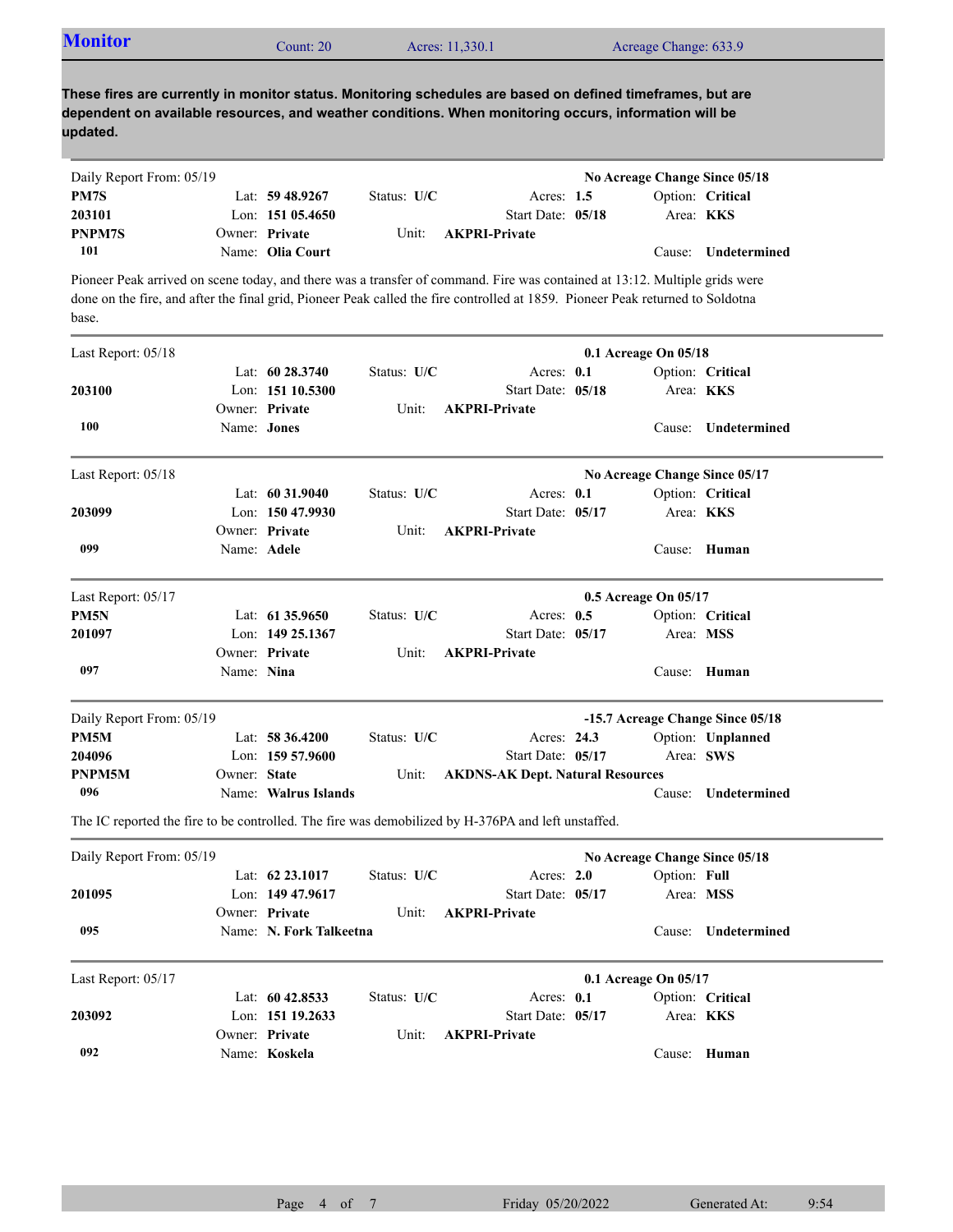| <b>Monitor</b>                                                                                                                                                                                                                                                        |              | Count: 20               |             | Acres: 11,330.1      |                                         | Acreage Change: 633.9         |                                  |
|-----------------------------------------------------------------------------------------------------------------------------------------------------------------------------------------------------------------------------------------------------------------------|--------------|-------------------------|-------------|----------------------|-----------------------------------------|-------------------------------|----------------------------------|
| These fires are currently in monitor status. Monitoring schedules are based on defined timeframes, but are<br>dependent on available resources, and weather conditions. When monitoring occurs, information will be<br>updated.                                       |              |                         |             |                      |                                         |                               |                                  |
| Daily Report From: 05/19                                                                                                                                                                                                                                              |              |                         |             |                      |                                         | No Acreage Change Since 05/18 |                                  |
| PM7S                                                                                                                                                                                                                                                                  |              | Lat: $59\,48.9267$      | Status: U/C |                      | Acres: $1.5$                            |                               | Option: Critical                 |
| 203101                                                                                                                                                                                                                                                                |              | Lon: $15105.4650$       |             |                      | Start Date: 05/18                       |                               | Area: <b>KKS</b>                 |
| PNPM7S                                                                                                                                                                                                                                                                |              | Owner: Private          | Unit:       | <b>AKPRI-Private</b> |                                         |                               |                                  |
| 101                                                                                                                                                                                                                                                                   |              | Name: Olia Court        |             |                      |                                         | Cause:                        | <b>Undetermined</b>              |
| Pioneer Peak arrived on scene today, and there was a transfer of command. Fire was contained at 13:12. Multiple grids were<br>done on the fire, and after the final grid, Pioneer Peak called the fire controlled at 1859. Pioneer Peak returned to Soldotna<br>base. |              |                         |             |                      |                                         |                               |                                  |
| Last Report: 05/18                                                                                                                                                                                                                                                    |              |                         |             |                      |                                         | 0.1 Acreage On 05/18          |                                  |
|                                                                                                                                                                                                                                                                       |              | Lat: $6028.3740$        | Status: U/C |                      | Acres: 0.1                              |                               | Option: Critical                 |
| 203100                                                                                                                                                                                                                                                                |              | Lon: 151 10.5300        |             |                      | Start Date: 05/18                       |                               | Area: KKS                        |
|                                                                                                                                                                                                                                                                       |              | Owner: Private          | Unit:       | <b>AKPRI-Private</b> |                                         |                               |                                  |
| 100                                                                                                                                                                                                                                                                   | Name: Jones  |                         |             |                      |                                         | Cause:                        | Undetermined                     |
| Last Report: 05/18                                                                                                                                                                                                                                                    |              |                         |             |                      |                                         | No Acreage Change Since 05/17 |                                  |
|                                                                                                                                                                                                                                                                       |              | Lat: 60 31.9040         | Status: U/C |                      | Acres: 0.1                              |                               | Option: Critical                 |
| 203099                                                                                                                                                                                                                                                                |              | Lon: 150 47.9930        |             |                      | Start Date: 05/17                       |                               | Area: <b>KKS</b>                 |
|                                                                                                                                                                                                                                                                       |              | Owner: Private          | Unit:       | <b>AKPRI-Private</b> |                                         |                               |                                  |
| 099                                                                                                                                                                                                                                                                   | Name: Adele  |                         |             |                      |                                         |                               | Cause: Human                     |
| Last Report: 05/17                                                                                                                                                                                                                                                    |              |                         |             |                      |                                         | 0.5 Acreage On 05/17          |                                  |
| PM5N                                                                                                                                                                                                                                                                  |              | Lat: $61\,35.9650$      | Status: U/C |                      | Acres: $0.5$                            |                               | Option: Critical                 |
| 201097                                                                                                                                                                                                                                                                |              | Lon: 149 25.1367        |             |                      | Start Date: 05/17                       |                               | Area: MSS                        |
|                                                                                                                                                                                                                                                                       |              | Owner: Private          | Unit:       | <b>AKPRI-Private</b> |                                         |                               |                                  |
| 097                                                                                                                                                                                                                                                                   | Name: Nina   |                         |             |                      |                                         |                               | Cause: Human                     |
| Daily Report From: 05/19                                                                                                                                                                                                                                              |              |                         |             |                      |                                         |                               | -15.7 Acreage Change Since 05/18 |
| PM5M                                                                                                                                                                                                                                                                  |              | Lat: 58 36.4200         | Status: U/C |                      | Acres: 24.3                             |                               | Option: Unplanned                |
| 204096                                                                                                                                                                                                                                                                |              | Lon: $15957.9600$       |             |                      | Start Date: 05/17                       |                               | Area: SWS                        |
| PNPM5M                                                                                                                                                                                                                                                                | Owner: State |                         | Unit:       |                      | <b>AKDNS-AK Dept. Natural Resources</b> |                               |                                  |
| 096                                                                                                                                                                                                                                                                   |              | Name: Walrus Islands    |             |                      |                                         |                               | Cause: Undetermined              |
| The IC reported the fire to be controlled. The fire was demobilized by H-376PA and left unstaffed.                                                                                                                                                                    |              |                         |             |                      |                                         |                               |                                  |
| Daily Report From: 05/19                                                                                                                                                                                                                                              |              |                         |             |                      |                                         | No Acreage Change Since 05/18 |                                  |
|                                                                                                                                                                                                                                                                       |              | Lat: 62 23.1017         | Status: U/C |                      | Acres: 2.0                              | Option: Full                  |                                  |
| 201095                                                                                                                                                                                                                                                                |              | Lon: 149 47.9617        |             |                      | Start Date: 05/17                       |                               | Area: MSS                        |
|                                                                                                                                                                                                                                                                       |              | Owner: Private          | Unit:       | <b>AKPRI-Private</b> |                                         |                               |                                  |
| 095                                                                                                                                                                                                                                                                   |              | Name: N. Fork Talkeetna |             |                      |                                         |                               | Cause: Undetermined              |
|                                                                                                                                                                                                                                                                       |              |                         |             |                      |                                         |                               |                                  |
| Last Report: 05/17                                                                                                                                                                                                                                                    |              | Lat: 60 42.8533         | Status: U/C |                      | Acres: 0.1                              | 0.1 Acreage On 05/17          | Option: Critical                 |
| 203092                                                                                                                                                                                                                                                                |              | Lon: 151 19.2633        |             |                      | Start Date: 05/17                       |                               | Area: KKS                        |
|                                                                                                                                                                                                                                                                       |              | Owner: Private          | Unit:       | <b>AKPRI-Private</b> |                                         |                               |                                  |
| 092                                                                                                                                                                                                                                                                   |              | Name: Koskela           |             |                      |                                         |                               | Cause: Human                     |
|                                                                                                                                                                                                                                                                       |              |                         |             |                      |                                         |                               |                                  |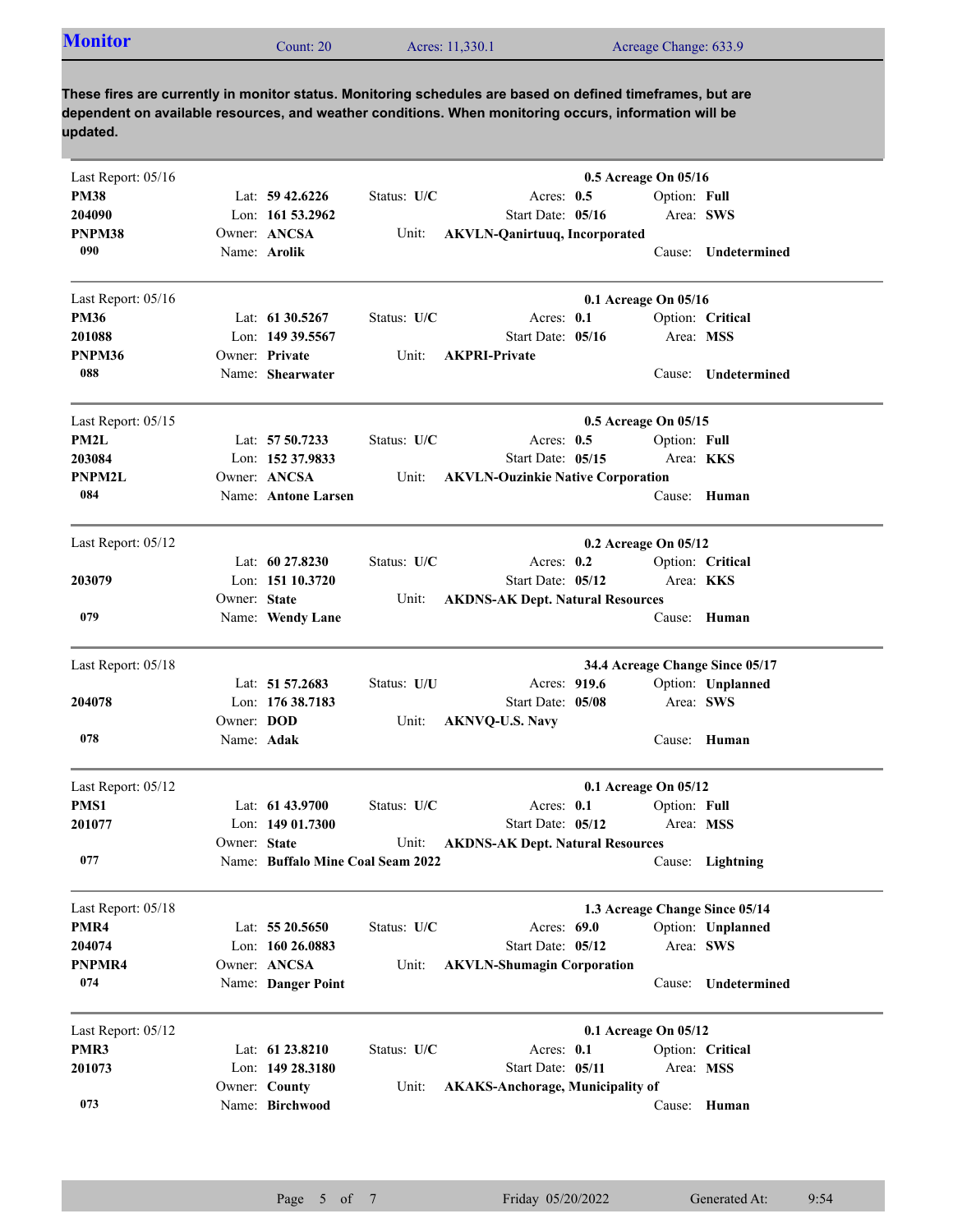| <b>Monitor</b> | Count: $201$ | Acres: 11,330.1 | Acreage Change: 633.9 |
|----------------|--------------|-----------------|-----------------------|
|----------------|--------------|-----------------|-----------------------|

**These fires are currently in monitor status. Monitoring schedules are based on defined timeframes, but are dependent on available resources, and weather conditions. When monitoring occurs, information will be updated.**

| Last Report: 05/16 |                   |                                   |             |                                          | 0.5 Acreage On 05/16            |                     |
|--------------------|-------------------|-----------------------------------|-------------|------------------------------------------|---------------------------------|---------------------|
| <b>PM38</b>        |                   | Lat: $59\,42.6226$                | Status: U/C | Acres: $0.5$                             | Option: Full                    |                     |
| 204090             |                   | Lon: $161\,53.2962$               |             | Start Date: 05/16                        | Area: SWS                       |                     |
| PNPM38             |                   | Owner: ANCSA                      | Unit:       | <b>AKVLN-Qanirtuuq, Incorporated</b>     |                                 |                     |
| 090                |                   | Name: Arolik                      |             |                                          |                                 | Cause: Undetermined |
| Last Report: 05/16 |                   |                                   |             |                                          | 0.1 Acreage On 05/16            |                     |
| <b>PM36</b>        |                   | Lat: $61\,30.5267$                | Status: U/C | Acres: 0.1                               |                                 | Option: Critical    |
| 201088             |                   | Lon: 149 39.5567                  |             | Start Date: 05/16                        | Area: MSS                       |                     |
| PNPM36             |                   | Owner: Private                    | Unit:       | <b>AKPRI-Private</b>                     |                                 |                     |
| 088                |                   | Name: Shearwater                  |             |                                          | Cause:                          | Undetermined        |
| Last Report: 05/15 |                   |                                   |             |                                          | 0.5 Acreage On 05/15            |                     |
| PM2L               |                   | Lat: 57 50.7233                   | Status: U/C | Acres: $0.5$                             | Option: Full                    |                     |
| 203084             |                   | Lon: 152 37.9833                  |             | Start Date: 05/15                        | Area: <b>KKS</b>                |                     |
| PNPM2L             |                   | Owner: ANCSA                      | Unit:       | <b>AKVLN-Ouzinkie Native Corporation</b> |                                 |                     |
| 084                |                   | Name: Antone Larsen               |             |                                          |                                 | Cause: Human        |
| Last Report: 05/12 |                   |                                   |             |                                          | 0.2 Acreage On 05/12            |                     |
|                    |                   | Lat: $60\,27.8230$                | Status: U/C | Acres: $0.2$                             |                                 | Option: Critical    |
| 203079             |                   | Lon: $15110.3720$                 |             | Start Date: 05/12                        | Area: KKS                       |                     |
|                    | Owner: State      |                                   | Unit:       | <b>AKDNS-AK Dept. Natural Resources</b>  |                                 |                     |
| 079                |                   | Name: Wendy Lane                  |             |                                          |                                 | Cause: Human        |
| Last Report: 05/18 |                   |                                   |             |                                          | 34.4 Acreage Change Since 05/17 |                     |
|                    |                   | Lat: 51 57.2683                   | Status: U/U | Acres: 919.6                             |                                 | Option: Unplanned   |
| 204078             |                   | Lon: 176 38.7183                  |             | Start Date: 05/08                        | Area: SWS                       |                     |
|                    | Owner: <b>DOD</b> |                                   | Unit:       | <b>AKNVQ-U.S. Navy</b>                   |                                 |                     |
| 078                | Name: Adak        |                                   |             |                                          |                                 | Cause: Human        |
| Last Report: 05/12 |                   |                                   |             |                                          | 0.1 Acreage On 05/12            |                     |
| PMS1               |                   | Lat: 61 43.9700                   | Status: U/C | Acres: 0.1                               | Option: Full                    |                     |
| 201077             |                   | Lon: $14901.7300$                 |             | Start Date: 05/12                        | Area: MSS                       |                     |
|                    | Owner: State      |                                   | Unit:       | <b>AKDNS-AK Dept. Natural Resources</b>  |                                 |                     |
| 077                |                   | Name: Buffalo Mine Coal Seam 2022 |             |                                          |                                 | Cause: Lightning    |
| Last Report: 05/18 |                   |                                   |             |                                          | 1.3 Acreage Change Since 05/14  |                     |
| PMR4               |                   | Lat: 55 20.5650                   | Status: U/C | Acres: 69.0                              |                                 | Option: Unplanned   |
| 204074             |                   | Lon: 160 26.0883                  |             | Start Date: 05/12                        | Area: SWS                       |                     |
| PNPMR4             |                   | Owner: ANCSA                      | Unit:       | <b>AKVLN-Shumagin Corporation</b>        |                                 |                     |
| 074                |                   | Name: Danger Point                |             |                                          |                                 | Cause: Undetermined |
| Last Report: 05/12 |                   |                                   |             |                                          | 0.1 Acreage On 05/12            |                     |
| PMR3               |                   | Lat: 61 23.8210                   | Status: U/C | Acres: 0.1                               |                                 | Option: Critical    |
| 201073             |                   | Lon: $149\,28.3180$               |             | Start Date: 05/11                        | Area: MSS                       |                     |
|                    |                   | Owner: County                     | Unit:       | <b>AKAKS-Anchorage, Municipality of</b>  |                                 |                     |
| 073                |                   | Name: Birchwood                   |             |                                          |                                 | Cause: Human        |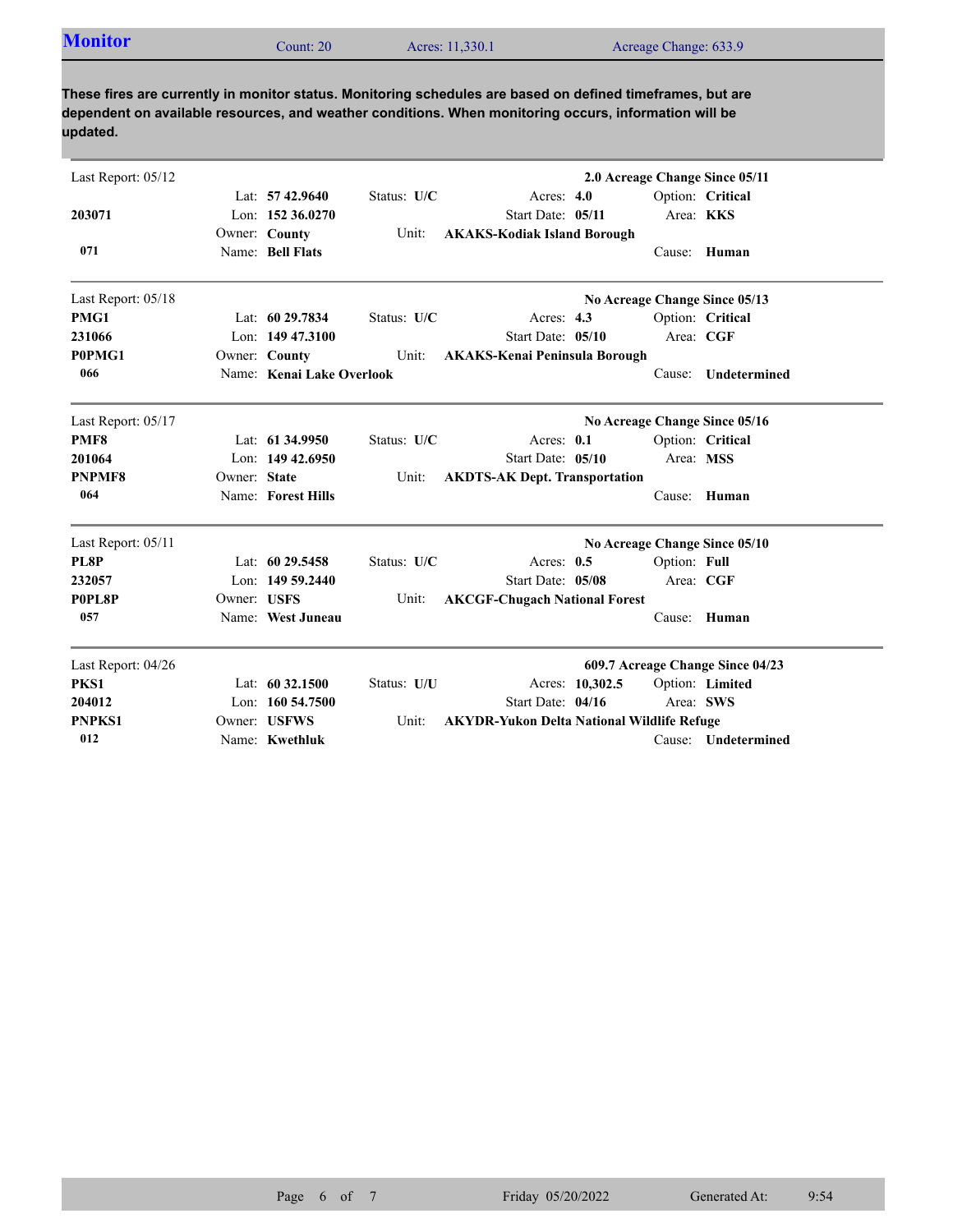| <b>Monitor</b> | Count: $201$ | Acres: 11,330.1 | Acreage Change: 633.9 |
|----------------|--------------|-----------------|-----------------------|

**These fires are currently in monitor status. Monitoring schedules are based on defined timeframes, but are dependent on available resources, and weather conditions. When monitoring occurs, information will be updated.**

| Last Report: 05/12 |              |                           |             |                                                   |                 |              | 2.0 Acreage Change Since 05/11   |
|--------------------|--------------|---------------------------|-------------|---------------------------------------------------|-----------------|--------------|----------------------------------|
|                    |              | Lat: $57\,42.9640$        | Status: U/C | Acres: $4.0$                                      |                 |              | Option: Critical                 |
| 203071             |              | Lon: 152 36.0270          |             | Start Date: 05/11                                 |                 | Area: KKS    |                                  |
|                    |              | Owner: County             | Unit:       | <b>AKAKS-Kodiak Island Borough</b>                |                 |              |                                  |
| 071                |              | Name: Bell Flats          |             |                                                   |                 |              | Cause: Human                     |
| Last Report: 05/18 |              |                           |             |                                                   |                 |              | No Acreage Change Since 05/13    |
| PMG1               |              | Lat: 60 29.7834           | Status: U/C | Acres: 4.3                                        |                 |              | Option: Critical                 |
| 231066             |              | Lon: 149 47.3100          |             | Start Date: 05/10                                 |                 |              | Area: CGF                        |
| P0PMG1             |              | Owner: County             | Unit:       | <b>AKAKS-Kenai Peninsula Borough</b>              |                 |              |                                  |
| 066                |              | Name: Kenai Lake Overlook |             |                                                   |                 | Cause:       | Undetermined                     |
| Last Report: 05/17 |              |                           |             |                                                   |                 |              | No Acreage Change Since 05/16    |
| PMF8               |              | Lat: 61 34.9950           | Status: U/C | Acres: 0.1                                        |                 |              | Option: Critical                 |
| 201064             |              | Lon: 149 42.6950          |             | Start Date: 05/10                                 |                 | Area: MSS    |                                  |
| <b>PNPMF8</b>      | Owner: State |                           | Unit:       | <b>AKDTS-AK Dept. Transportation</b>              |                 |              |                                  |
| 064                |              | Name: Forest Hills        |             |                                                   |                 |              | Cause: Human                     |
| Last Report: 05/11 |              |                           |             |                                                   |                 |              | No Acreage Change Since 05/10    |
| PL8P               |              | Lat: $6029.5458$          | Status: U/C | Acres: $0.5$                                      |                 | Option: Full |                                  |
| 232057             |              | Lon: 149 59.2440          |             | Start Date: 05/08                                 |                 | Area: CGF    |                                  |
| P0PL8P             | Owner: USFS  |                           | Unit:       | <b>AKCGF-Chugach National Forest</b>              |                 |              |                                  |
| 057                |              | Name: West Juneau         |             |                                                   |                 |              | Cause: Human                     |
| Last Report: 04/26 |              |                           |             |                                                   |                 |              | 609.7 Acreage Change Since 04/23 |
| PKS1               |              | Lat: 60 32.1500           | Status: U/U |                                                   | Acres: 10,302.5 |              | Option: Limited                  |
| 204012             |              | Lon: $160\,54.7500$       |             | Start Date: 04/16                                 |                 |              | Area: SWS                        |
| <b>PNPKS1</b>      |              | Owner: USFWS              | Unit:       | <b>AKYDR-Yukon Delta National Wildlife Refuge</b> |                 |              |                                  |
| 012                |              | Name: Kwethluk            |             |                                                   |                 |              | Cause: Undetermined              |